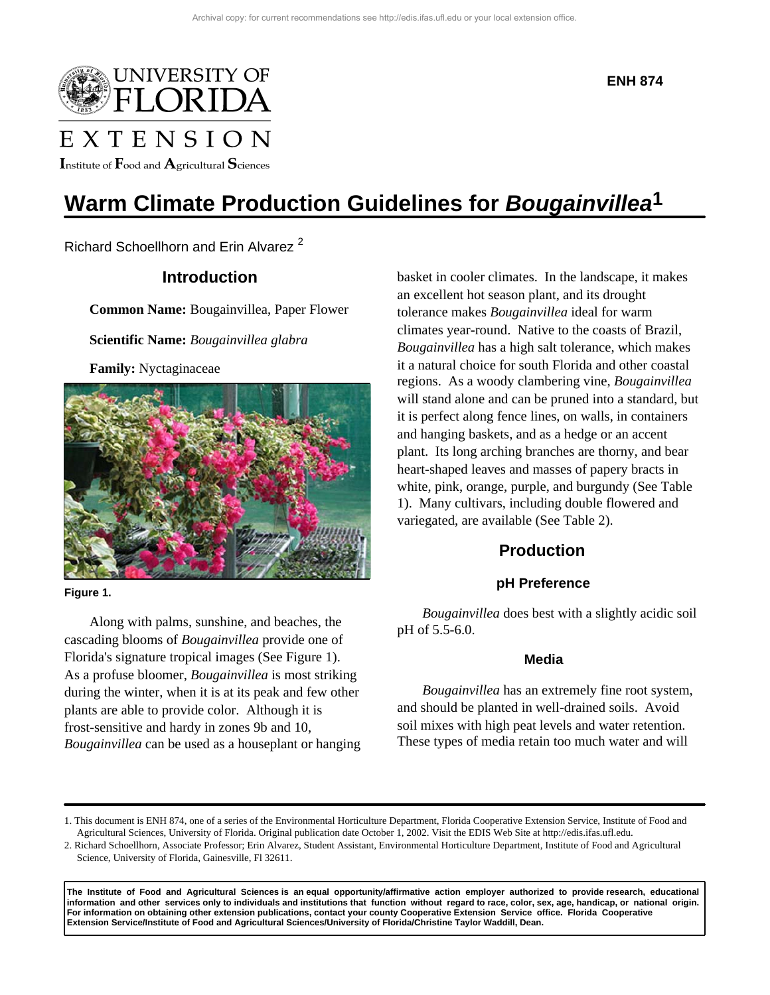

Institute of  $\mathbf F$ ood and  $\mathbf A$ gricultural  $\mathbf S$ ciences

**ENH 874**

# **Warm Climate Production Guidelines for** *Bougainvillea***1**

Richard Schoellhorn and Erin Alvarez<sup>2</sup>

# **Introduction**

**Common Name:** Bougainvillea, Paper Flower

**Scientific Name:** *Bougainvillea glabra*

**Family:** Nyctaginaceae



**Figure 1.** 

Along with palms, sunshine, and beaches, the cascading blooms of *Bougainvillea* provide one of Florida's signature tropical images (See Figure 1). As a profuse bloomer, *Bougainvillea* is most striking during the winter, when it is at its peak and few other plants are able to provide color. Although it is frost-sensitive and hardy in zones 9b and 10, *Bougainvillea* can be used as a houseplant or hanging basket in cooler climates. In the landscape, it makes an excellent hot season plant, and its drought tolerance makes *Bougainvillea* ideal for warm climates year-round. Native to the coasts of Brazil, *Bougainvillea* has a high salt tolerance, which makes it a natural choice for south Florida and other coastal regions. As a woody clambering vine, *Bougainvillea* will stand alone and can be pruned into a standard, but it is perfect along fence lines, on walls, in containers and hanging baskets, and as a hedge or an accent plant. Its long arching branches are thorny, and bear heart-shaped leaves and masses of papery bracts in white, pink, orange, purple, and burgundy (See Table 1). Many cultivars, including double flowered and variegated, are available (See Table 2).

# **Production**

#### **pH Preference**

*Bougainvillea* does best with a slightly acidic soil pH of 5.5-6.0.

#### **Media**

*Bougainvillea* has an extremely fine root system, and should be planted in well-drained soils. Avoid soil mixes with high peat levels and water retention. These types of media retain too much water and will

**The Institute of Food and Agricultural Sciences is an equal opportunity/affirmative action employer authorized to provide research, educational information and other services only to individuals and institutions that function without regard to race, color, sex, age, handicap, or national origin. For information on obtaining other extension publications, contact your county Cooperative Extension Service office. Florida Cooperative Extension Service/Institute of Food and Agricultural Sciences/University of Florida/Christine Taylor Waddill, Dean.**

<sup>1.</sup> This document is ENH 874, one of a series of the Environmental Horticulture Department, Florida Cooperative Extension Service, Institute of Food and Agricultural Sciences, University of Florida. Original publication date October 1, 2002. Visit the EDIS Web Site at http://edis.ifas.ufl.edu.

<sup>2.</sup> Richard Schoellhorn, Associate Professor; Erin Alvarez, Student Assistant, Environmental Horticulture Department, Institute of Food and Agricultural Science, University of Florida, Gainesville, Fl 32611.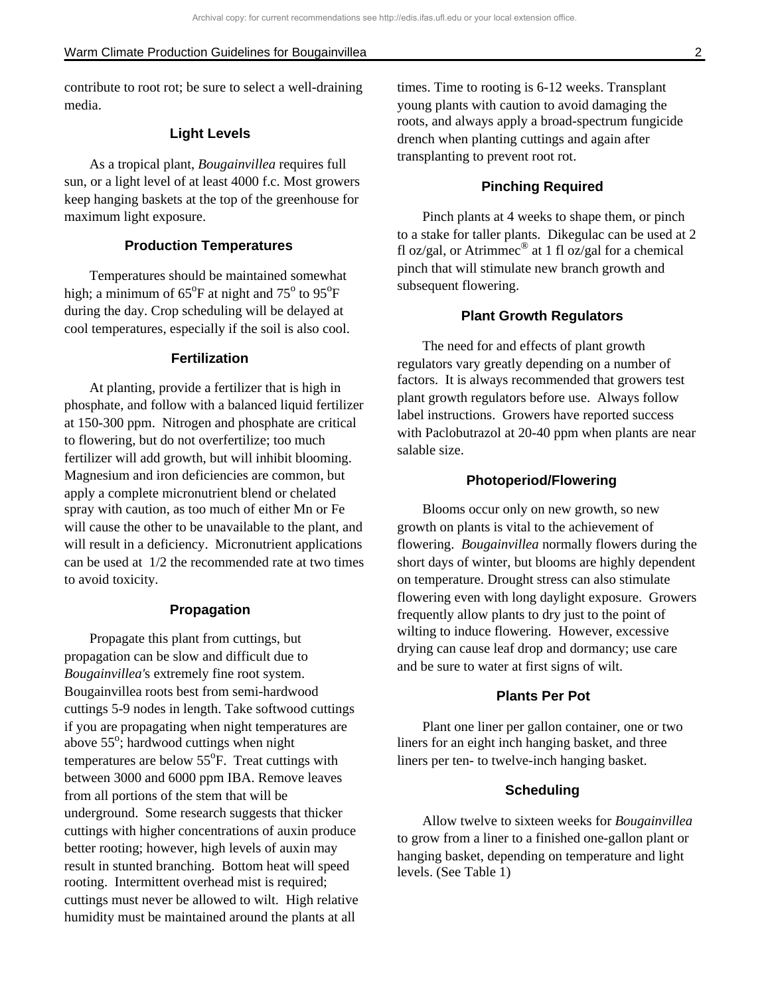contribute to root rot; be sure to select a well-draining media.

#### **Light Levels**

As a tropical plant, *Bougainvillea* requires full sun, or a light level of at least 4000 f.c. Most growers keep hanging baskets at the top of the greenhouse for maximum light exposure.

#### **Production Temperatures**

Temperatures should be maintained somewhat high; a minimum of  $65^{\circ}$ F at night and  $75^{\circ}$  to  $95^{\circ}$ F during the day. Crop scheduling will be delayed at cool temperatures, especially if the soil is also cool.

#### **Fertilization**

At planting, provide a fertilizer that is high in phosphate, and follow with a balanced liquid fertilizer at 150-300 ppm. Nitrogen and phosphate are critical to flowering, but do not overfertilize; too much fertilizer will add growth, but will inhibit blooming. Magnesium and iron deficiencies are common, but apply a complete micronutrient blend or chelated spray with caution, as too much of either Mn or Fe will cause the other to be unavailable to the plant, and will result in a deficiency. Micronutrient applications can be used at 1/2 the recommended rate at two times to avoid toxicity.

#### **Propagation**

Propagate this plant from cuttings, but propagation can be slow and difficult due to *Bougainvillea'*s extremely fine root system. Bougainvillea roots best from semi-hardwood cuttings 5-9 nodes in length. Take softwood cuttings if you are propagating when night temperatures are above 55<sup>o</sup>; hardwood cuttings when night temperatures are below  $55^{\circ}$ F. Treat cuttings with between 3000 and 6000 ppm IBA. Remove leaves from all portions of the stem that will be underground. Some research suggests that thicker cuttings with higher concentrations of auxin produce better rooting; however, high levels of auxin may result in stunted branching. Bottom heat will speed rooting. Intermittent overhead mist is required; cuttings must never be allowed to wilt. High relative humidity must be maintained around the plants at all

times. Time to rooting is 6-12 weeks. Transplant young plants with caution to avoid damaging the roots, and always apply a broad-spectrum fungicide drench when planting cuttings and again after transplanting to prevent root rot.

#### **Pinching Required**

Pinch plants at 4 weeks to shape them, or pinch to a stake for taller plants. Dikegulac can be used at 2 fl oz/gal, or Atrimmec<sup>®</sup> at 1 fl oz/gal for a chemical pinch that will stimulate new branch growth and subsequent flowering.

#### **Plant Growth Regulators**

The need for and effects of plant growth regulators vary greatly depending on a number of factors. It is always recommended that growers test plant growth regulators before use. Always follow label instructions. Growers have reported success with Paclobutrazol at 20-40 ppm when plants are near salable size.

#### **Photoperiod/Flowering**

Blooms occur only on new growth, so new growth on plants is vital to the achievement of flowering. *Bougainvillea* normally flowers during the short days of winter, but blooms are highly dependent on temperature. Drought stress can also stimulate flowering even with long daylight exposure. Growers frequently allow plants to dry just to the point of wilting to induce flowering. However, excessive drying can cause leaf drop and dormancy; use care and be sure to water at first signs of wilt.

#### **Plants Per Pot**

Plant one liner per gallon container, one or two liners for an eight inch hanging basket, and three liners per ten- to twelve-inch hanging basket.

#### **Scheduling**

Allow twelve to sixteen weeks for *Bougainvillea* to grow from a liner to a finished one-gallon plant or hanging basket, depending on temperature and light levels. (See Table 1)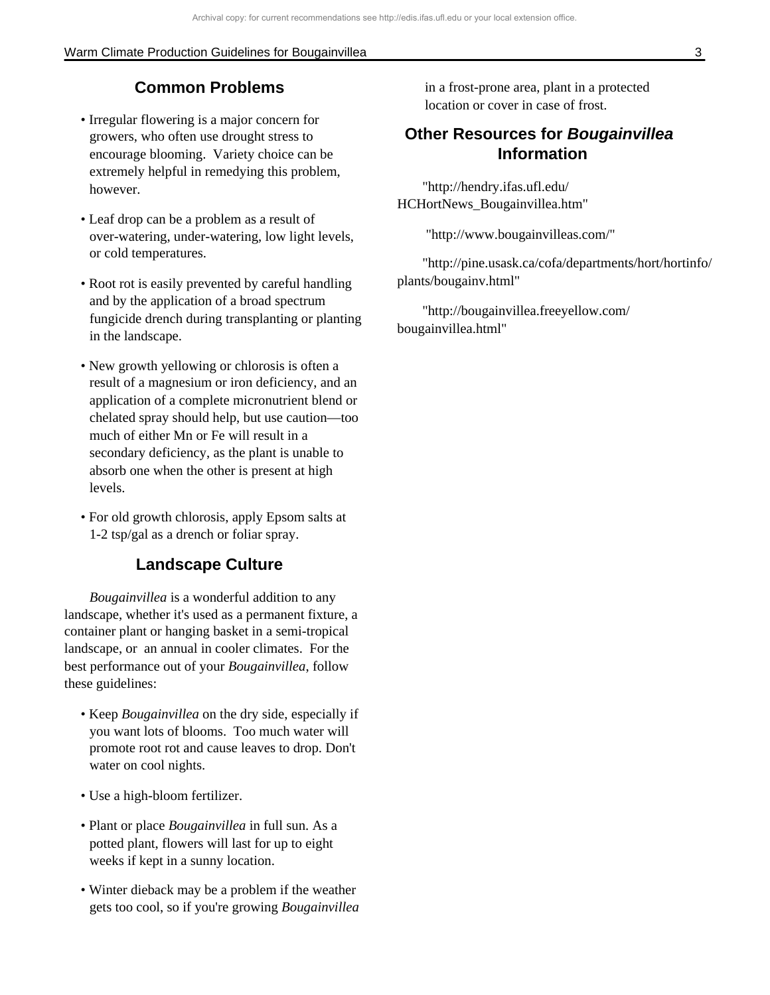#### Warm Climate Production Guidelines for Bougainvillea 3

# **Common Problems**

- Irregular flowering is a major concern for growers, who often use drought stress to encourage blooming. Variety choice can be extremely helpful in remedying this problem, however.
- Leaf drop can be a problem as a result of over-watering, under-watering, low light levels, or cold temperatures.
- Root rot is easily prevented by careful handling and by the application of a broad spectrum fungicide drench during transplanting or planting in the landscape.
- New growth yellowing or chlorosis is often a result of a magnesium or iron deficiency, and an application of a complete micronutrient blend or chelated spray should help, but use caution—too much of either Mn or Fe will result in a secondary deficiency, as the plant is unable to absorb one when the other is present at high levels.
- For old growth chlorosis, apply Epsom salts at 1-2 tsp/gal as a drench or foliar spray.

## **Landscape Culture**

*Bougainvillea* is a wonderful addition to any landscape, whether it's used as a permanent fixture, a container plant or hanging basket in a semi-tropical landscape, or an annual in cooler climates. For the best performance out of your *Bougainvillea*, follow these guidelines:

- Keep *Bougainvillea* on the dry side, especially if you want lots of blooms. Too much water will promote root rot and cause leaves to drop. Don't water on cool nights.
- Use a high-bloom fertilizer.
- Plant or place *Bougainvillea* in full sun. As a potted plant, flowers will last for up to eight weeks if kept in a sunny location.
- Winter dieback may be a problem if the weather gets too cool, so if you're growing *Bougainvillea*

in a frost-prone area, plant in a protected location or cover in case of frost.

# **Other Resources for** *Bougainvillea* **Information**

"http://hendry.ifas.ufl.edu/ HCHortNews\_Bougainvillea.htm"

"http://www.bougainvilleas.com/"

"http://pine.usask.ca/cofa/departments/hort/hortinfo/ plants/bougainv.html"

"http://bougainvillea.freeyellow.com/ bougainvillea.html"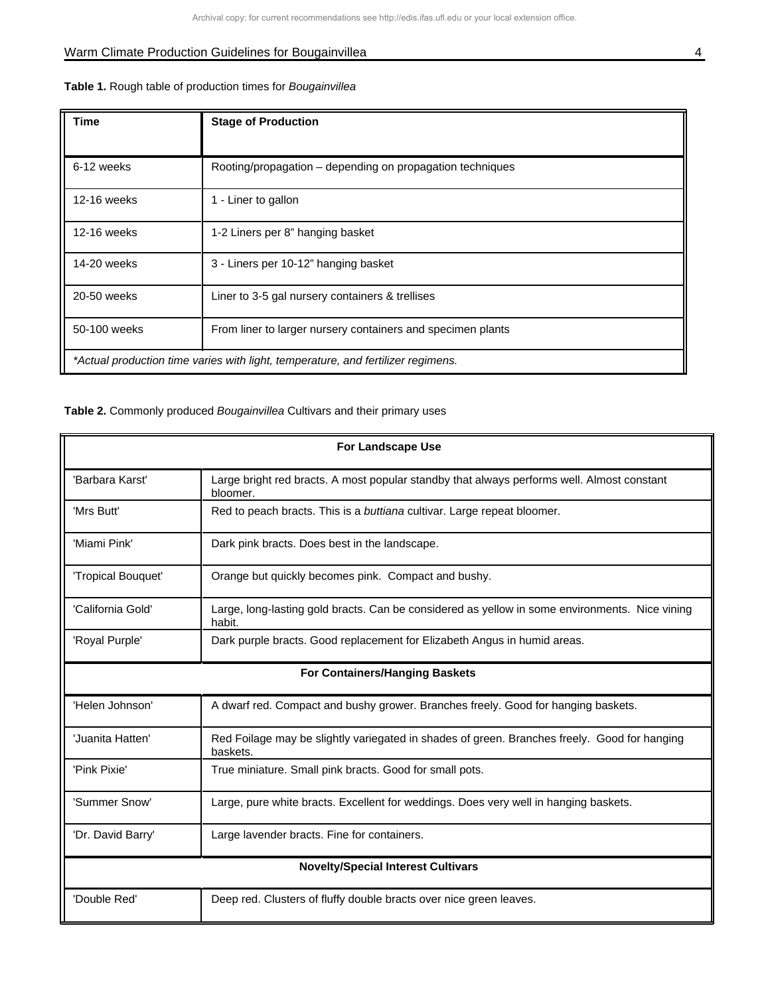# Warm Climate Production Guidelines for Bougainvillea 4 and 200 million and 200 million and 200 million and 200 million and 200 million and 200 million and 200 million and 200 million and 200 million and 200 million and 200

|  |  |  | Table 1. Rough table of production times for Bougainvillea |  |
|--|--|--|------------------------------------------------------------|--|
|  |  |  |                                                            |  |

| Time                                                                             | <b>Stage of Production</b>                                  |  |
|----------------------------------------------------------------------------------|-------------------------------------------------------------|--|
| 6-12 weeks                                                                       | Rooting/propagation - depending on propagation techniques   |  |
| 12-16 weeks                                                                      | 1 - Liner to gallon                                         |  |
| 12-16 weeks                                                                      | 1-2 Liners per 8" hanging basket                            |  |
| 14-20 weeks                                                                      | 3 - Liners per 10-12" hanging basket                        |  |
| 20-50 weeks                                                                      | Liner to 3-5 gal nursery containers & trellises             |  |
| 50-100 weeks                                                                     | From liner to larger nursery containers and specimen plants |  |
| *Actual production time varies with light, temperature, and fertilizer regimens. |                                                             |  |

**Table 2.** Commonly produced *Bougainvillea* Cultivars and their primary uses

| <b>For Landscape Use</b>                  |                                                                                                          |  |
|-------------------------------------------|----------------------------------------------------------------------------------------------------------|--|
| 'Barbara Karst'                           | Large bright red bracts. A most popular standby that always performs well. Almost constant<br>bloomer.   |  |
| 'Mrs Butt'                                | Red to peach bracts. This is a buttiana cultivar. Large repeat bloomer.                                  |  |
| 'Miami Pink'                              | Dark pink bracts. Does best in the landscape.                                                            |  |
| 'Tropical Bouquet'                        | Orange but quickly becomes pink. Compact and bushy.                                                      |  |
| 'California Gold'                         | Large, long-lasting gold bracts. Can be considered as yellow in some environments. Nice vining<br>habit. |  |
| 'Royal Purple'                            | Dark purple bracts. Good replacement for Elizabeth Angus in humid areas.                                 |  |
| For Containers/Hanging Baskets            |                                                                                                          |  |
| 'Helen Johnson'                           | A dwarf red. Compact and bushy grower. Branches freely. Good for hanging baskets.                        |  |
| 'Juanita Hatten'                          | Red Foilage may be slightly variegated in shades of green. Branches freely. Good for hanging<br>baskets. |  |
| 'Pink Pixie'                              | True miniature. Small pink bracts. Good for small pots.                                                  |  |
| 'Summer Snow'                             | Large, pure white bracts. Excellent for weddings. Does very well in hanging baskets.                     |  |
| 'Dr. David Barry'                         | Large lavender bracts. Fine for containers.                                                              |  |
| <b>Novelty/Special Interest Cultivars</b> |                                                                                                          |  |
| 'Double Red'                              | Deep red. Clusters of fluffy double bracts over nice green leaves.                                       |  |